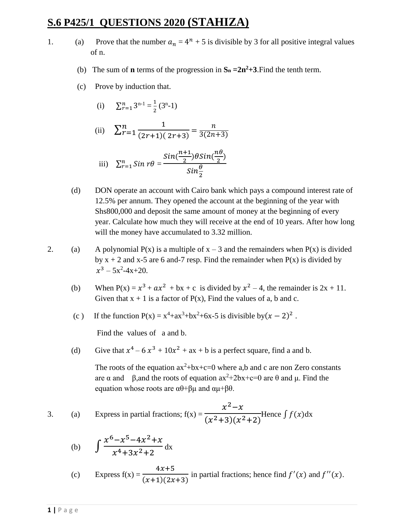## **S.6 P425/1 QUESTIONS 2020 (STAHIZA)**

1. (a) Prove that the number  $a_n = 4^n + 5$  is divisible by 3 for all positive integral values of n.

- (b) The sum of **n** terms of the progression in  $S_n = 2n^2 + 3$ . Find the tenth term.
- (c) Prove by induction that.

(i) 
$$
\sum_{r=1}^{n} 3^{n-1} = \frac{1}{2} (3^{n} - 1)
$$

(ii) 
$$
\sum_{r=1}^{n} \frac{1}{(2r+1)(2r+3)} = \frac{n}{3(2n+3)}
$$

iii) 
$$
\sum_{r=1}^{n} \sin r\theta = \frac{\sin(\frac{n+1}{2})\theta \sin(\frac{n\theta}{2})}{\sin(\frac{\theta}{2})}
$$

- (d) DON operate an account with Cairo bank which pays a compound interest rate of 12.5% per annum. They opened the account at the beginning of the year with Shs800,000 and deposit the same amount of money at the beginning of every year. Calculate how much they will receive at the end of 10 years. After how long will the money have accumulated to 3.32 million.
- 2. (a) A polynomial  $P(x)$  is a multiple of  $x 3$  and the remainders when  $P(x)$  is divided by  $x + 2$  and  $x - 5$  are 6 and 7 resp. Find the remainder when  $P(x)$  is divided by  $x^3 - 5x^2 - 4x + 20$ .
	- (b) When  $P(x) = x^3 + ax^2 + bx + c$  is divided by  $x^2 4$ , the remainder is  $2x + 11$ . Given that  $x + 1$  is a factor of  $P(x)$ , Find the values of a, b and c.

(c) If the function 
$$
P(x) = x^4 + ax^3 + bx^2 + 6x - 5
$$
 is divisible by  $(x - 2)^2$ .

Find the values of a and b.

(d) Give that  $x^4 - 6x^3 + 10x^2 + ax + b$  is a perfect square, find a and b.

The roots of the equation  $ax^2+bx+c=0$  where a,b and c are non Zero constants are  $\alpha$  and  $\beta$ , and the roots of equation  $ax^2+2bx+c=0$  are  $\theta$  and  $\mu$ . Find the equation whose roots are  $\alpha\theta + \beta\mu$  and  $\alpha\mu + \beta\theta$ .

3. (a) Express in partial fractions; 
$$
f(x) = \frac{x^2 - x}{(x^2 + 3)(x^2 + 2)}
$$
Hence  $\int f(x) dx$ 

(b) 
$$
\int \frac{x^6 - x^5 - 4x^2 + x}{x^4 + 3x^2 + 2} dx
$$

(c) Express  $f(x) =$  $4x+5$  $\frac{f(x+3)}{(x+1)(2x+3)}$  in partial fractions; hence find  $f'(x)$  and  $f''(x)$ .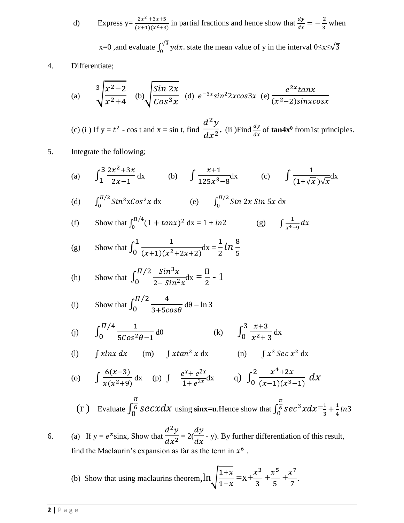d) Express 
$$
y = \frac{2x^2 + 3x + 5}{(x+1)(x^2+3)}
$$
 in partial fractions and hence show that  $\frac{dy}{dx} = -\frac{2}{3}$  when   
  $x=0$  , and evaluate  $\int_0^{\sqrt{3}} y dx$  state the mean value of y in the interval  $0 \le x \le \sqrt{3}$ 

4. Differentiate;

(a) 
$$
\sqrt[3]{\frac{x^2-2}{x^2+4}}
$$
 (b) 
$$
\sqrt{\frac{\sin 2x}{\cos^3 x}}
$$
 (d)  $e^{-3x} \sin^2 2x \cos 3x$  (e)  $\frac{e^{2x} \tan x}{(x^2-2)\sin x \cos x}$ 

(c) (i) If  $y = t^2$  - cos t and  $x = \sin t$ , find  $d^2y$  $\frac{d^2y}{dx^2}$ . (ii) Find  $\frac{dy}{dx}$  of **tan4x<sup>0</sup>** from1st principles.

5. Integrate the following;

(a) 
$$
\int_{1}^{3} \frac{2x^2 + 3x}{2x - 1} dx
$$
 (b)  $\int \frac{x + 1}{125x^3 - 8} dx$  (c)  $\int \frac{1}{(1 + \sqrt{x})\sqrt{x}} dx$ 

(d) 
$$
\int_0^{\pi/2} \sin^3 x \cos^2 x \, dx
$$
 (e)  $\int_0^{\pi/2} \sin 2x \sin 5x \, dx$ 

(f) Show that 
$$
\int_0^{T/4} (1 + \tan x)^2 dx = 1 + \ln 2
$$
 (g)  $\int \frac{1}{x^4 - 9} dx$ 

(g) Show that 
$$
\int_0^1 \frac{1}{(x+1)(x^2+2x+2)} dx = \frac{1}{2} ln \frac{8}{5}
$$

(h) Show that 
$$
\int_0^{\pi/2} \frac{\sin^3 x}{2 - \sin^2 x} dx = \frac{\pi}{2} - 1
$$

(i) Show that 
$$
\int_0^{\pi/2} \frac{4}{3+5\cos\theta} d\theta = \ln 3
$$

(j) 
$$
\int_0^{\pi/4} \frac{1}{5\cos^2\theta - 1} d\theta
$$
 (k)  $\int_0^3 \frac{x+3}{x^2 + 3} dx$ 

$$
(1) \qquad \int x \ln x \ dx \qquad (m) \qquad \int x \tan^2 x \ dx \qquad (n) \qquad \int x^3 \sec x^2 \ dx
$$

$$
\text{(o)} \qquad \int \frac{6(x-3)}{x(x^2+9)} \, \mathrm{d}x \qquad\n\text{(p)} \qquad \int \frac{e^x + e^{2x}}{1 + e^{2x}} \, \mathrm{d}x \qquad\n\text{(q)} \qquad \int_0^2 \frac{x^4 + 2x}{(x-1)(x^3-1)} \, \mathrm{d}x
$$

(r) Evaluate 
$$
\int_0^{\frac{\pi}{6}} \sec x dx
$$
 using **sinx**=u. Hence show that  $\int_0^{\frac{\pi}{6}} \sec^3 x dx = \frac{1}{3} + \frac{1}{4} ln 3$ 

6. (a) If  $y = e^x \sin x$ , Show that  $d^2y$  $\frac{d^{2}y}{dx^{2}} = 2($  $\frac{dy}{x}$  $dx$ - y). By further differentiation of this result, find the Maclaurin's expansion as far as the term in  $x^6$ .

(b) Show that using maclaurins theorem, 
$$
\ln \sqrt{\frac{1+x}{1-x}} = x + \frac{x^3}{3} + \frac{x^5}{5} + \frac{x^7}{7}
$$
.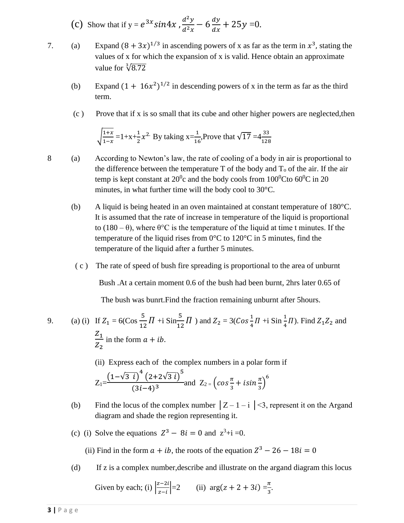(c) Show that if 
$$
y = e^{3x} \sin 4x
$$
,  $\frac{d^2y}{dx^2} - 6\frac{dy}{dx} + 25y = 0$ .

- 7. (a) Expand  $(8 + 3x)^{1/3}$  in ascending powers of x as far as the term in  $x^3$ , stating the values of x for which the expansion of x is valid. Hence obtain an approximate value for  $\sqrt[3]{8.72}$ 
	- (b) Expand  $(1 + 16x^2)^{1/2}$  in descending powers of x in the term as far as the third term.
	- (c ) Prove that if x is so small that its cube and other higher powers are neglected,then

$$
\sqrt{\frac{1+x}{1-x}} = 1 + x + \frac{1}{2}x^2
$$
. By taking  $x = \frac{1}{16}$ , Prove that  $\sqrt{17} = 4\frac{33}{128}$ 

- 8 (a) According to Newton's law, the rate of cooling of a body in air is proportional to the difference between the temperature  $T$  of the body and  $T_0$  of the air. If the air temp is kept constant at  $20^0$ c and the body cools from  $100^0$ Cto  $60^0$ C in  $20$ minutes, in what further time will the body cool to 30°C.
	- (b) A liquid is being heated in an oven maintained at constant temperature of 180°C. It is assumed that the rate of increase in temperature of the liquid is proportional to (180 –  $\theta$ ), where  $\theta^{\circ}C$  is the temperature of the liquid at time t minutes. If the temperature of the liquid rises from  $0^{\circ}$ C to 120 $^{\circ}$ C in 5 minutes, find the temperature of the liquid after a further 5 minutes.
	- ( c ) The rate of speed of bush fire spreading is proportional to the area of unburnt

Bush .At a certain moment 0.6 of the bush had been burnt, 2hrs later 0.65 of

The bush was bunrt.Find the fraction remaining unburnt after 5hours.

9. (a) (i) If 
$$
Z_1 = 6(Cos \frac{5}{12} \Pi + i Sin \frac{5}{12} \Pi)
$$
 and  $Z_2 = 3(Cos \frac{1}{4} \Pi + i Sin \frac{1}{4} \Pi)$ . Find  $Z_1 Z_2$  and  $\frac{Z_1}{Z_2}$  in the form  $a + ib$ .

(ii) Express each of the complex numbers in a polar form if

$$
Z_1 = \frac{\left(1 - \sqrt{3} i\right)^4 \left(2 + 2\sqrt{3} i\right)^5}{(3i - 4)^3}
$$
 and 
$$
Z_2 = \left(\cos\frac{\pi}{3} + i\sin\frac{\pi}{3}\right)^6
$$

- (b) Find the locus of the complex number  $|Z 1 i| < 3$ , represent it on the Argand diagram and shade the region representing it.
- (c) (i) Solve the equations  $Z^3 8i = 0$  and  $Z^3 + i = 0$ .

(ii) Find in the form  $a + ib$ , the roots of the equation  $Z^3 - 26 - 18i = 0$ 

(d) If z is a complex number,describe and illustrate on the argand diagram this locus

Given by each; (i)  $\left| \frac{z-2i}{z} \right|$  $\left|\frac{z-2i}{z-i}\right| = 2$  (ii)  $\arg(z + 2 + 3i) = \frac{\pi}{3}$  $\frac{\pi}{3}$ .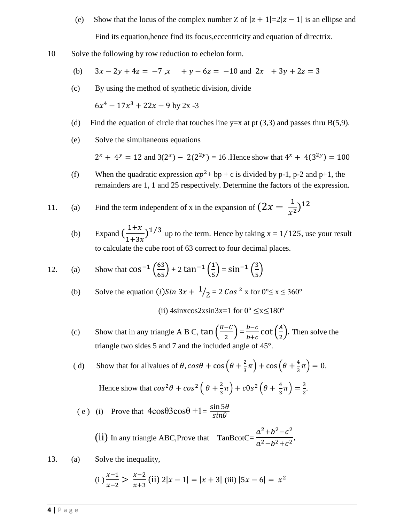- (e) Show that the locus of the complex number Z of  $|z + 1| = 2|z 1|$  is an ellipse and Find its equation,hence find its focus,eccentricity and equation of directrix.
- 10 Solve the following by row reduction to echelon form.
	- (b)  $3x 2y + 4z = -7$ ,  $x + y 6z = -10$  and  $2x + 3y + 2z = 3$
	- (c) By using the method of synthetic division, divide

 $6x^4 - 17x^3 + 22x - 9$  by 2x -3

- (d) Find the equation of circle that touches line  $y=x$  at pt (3,3) and passes thru B(5,9).
- (e) Solve the simultaneous equations

 $2^{x} + 4^{y} = 12$  and  $3(2^{x}) - 2(2^{2y}) = 16$ . Hence show that  $4^{x} + 4(3^{2y}) = 100$ 

(f) When the quadratic expression  $ap^2$ + bp + c is divided by p-1, p-2 and p+1, the remainders are 1, 1 and 25 respectively. Determine the factors of the expression.

11. (a) Find the term independent of x in the expansion of  $(2x - \frac{1}{x})$  $(\frac{1}{x^2})^{12}$ 

(b) Expand  $\left(\frac{1+x}{1+2x}\right)$  $\frac{1+x}{1+3x}$ )<sup>1/3</sup> up to the term. Hence by taking x = 1/125, use your result to calculate the cube root of 63 correct to four decimal places.

12. (a) Show that 
$$
\cos^{-1}\left(\frac{63}{65}\right) + 2\tan^{-1}\left(\frac{1}{5}\right) = \sin^{-1}\left(\frac{3}{5}\right)
$$

(b) Solve the equation (i) Sin 3x +  $\frac{1}{2}$  = 2 Cos<sup>2</sup> x for 0°  $\le x \le 360$ °

(ii) 
$$
4\sin x \cos 2x \sin 3x = 1
$$
 for  $0^{\circ} \le x \le 180^{\circ}$ 

(c) Show that in any triangle A B C,  $\tan\left(\frac{B-C}{2}\right)$  $\left(\frac{-c}{2}\right) = \frac{b-c}{b+c}$  $\frac{b-c}{b+c}$  cot  $\left(\frac{A}{2}\right)$  $\frac{1}{2}$ ). Then solve the triangle two sides 5 and 7 and the included angle of 45°.

(d) Show that for all values of  $\theta$ ,  $\cos\theta$  +  $\cos\left(\theta + \frac{2}{3}\right)$  $\left(\frac{2}{3}\pi\right) + \cos\left(\theta + \frac{4}{3}\right)$  $(\frac{4}{3}\pi) = 0.$ 

Hence show that  $cos^2 \theta + cos^2 \left( \theta + \frac{2}{3} \right)$  $\left(\frac{2}{3}\pi\right) + c 0 s^2 \left(\theta + \frac{4}{3}\right)$  $\frac{4}{3}\pi$  =  $\frac{3}{2}$  $\frac{5}{2}$ .

(e) (i) Prove that  $4\cos\theta 3\cos\theta + 1 = \frac{\sin 5\theta}{\sin \theta}$  $sin\theta$ 

(ii) In any triangle ABC, Prove that 
$$
\text{TanBcotC} = \frac{a^2 + b^2 - c^2}{a^2 - b^2 + c^2}.
$$

13. (a) Solve the inequality,

(i) 
$$
\frac{x-1}{x-2}
$$
 >  $\frac{x-2}{x+3}$  (ii)  $2|x-1| = |x+3|$  (iii)  $|5x-6| = x^2$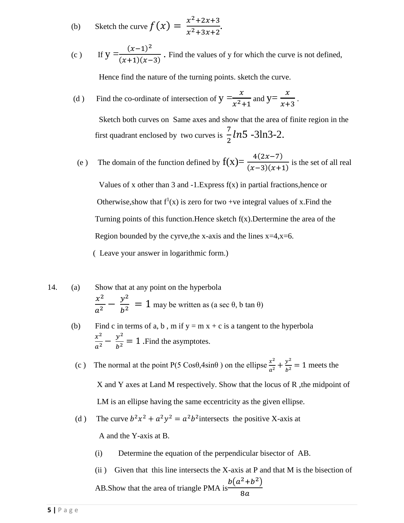(b) Sketch the curve 
$$
f(x) = \frac{x^2 + 2x + 3}{x^2 + 3x + 2}
$$
.

(c) If  $y = \frac{(x-1)^2}{(x+1)(x+2)}$  $\frac{(x-1)^{n}}{(x+1)(x-3)}$ . Find the values of y for which the curve is not defined,

Hence find the nature of the turning points. sketch the curve.

(d) Find the co-ordinate of intersection of  $y = \frac{x}{x^2}$  $\frac{x}{x^2+1}$  and  $y = \frac{x}{x+1}$  $x+3$ 

 Sketch both curves on Same axes and show that the area of finite region in the first quadrant enclosed by two curves is 7  $\frac{1}{2}$ *ln*5 -3ln3-2.

.

(e) The domain of the function defined by 
$$
f(x) = \frac{4(2x-7)}{(x-3)(x+1)}
$$
 is the set of all real

Values of x other than 3 and  $-1$ . Express  $f(x)$  in partial fractions, hence or Otherwise, show that  $f^1(x)$  is zero for two +ve integral values of x. Find the Turning points of this function. Hence sketch  $f(x)$ . Dertermine the area of the Region bounded by the cyrve, the x-axis and the lines  $x=4$ ,  $x=6$ .

( Leave your answer in logarithmic form.)

- 14. (a) Show that at any point on the hyperbola  $x^2$  $\frac{x^2}{a^2} - \frac{y^2}{b^2}$  $\frac{y}{b^2} = 1$  may be written as (a sec  $\theta$ , b tan  $\theta$ )
	- (b) Find c in terms of a, b, m if  $y = m x + c$  is a tangent to the hyperbola  $\frac{x^2}{a^2} - \frac{y^2}{b^2}$  $\frac{y}{b^2} = 1$ . Find the asymptotes.

(c) The normal at the point P(5 Cos $\theta$ , 4sin $\theta$ ) on the ellipse  $\frac{x^2}{a^2} + \frac{y^2}{b^2} = 1$  meets the X and Y axes at Land M respectively. Show that the locus of R ,the midpoint of LM is an ellipse having the same eccentricity as the given ellipse.

- (d) The curve  $b^2x^2 + a^2y^2 = a^2b^2$  intersects the positive X-axis at A and the Y-axis at B.
	- (i) Determine the equation of the perpendicular bisector of AB.
	- (ii) Given that this line intersects the X-axis at P and that M is the bisection of AB.Show that the area of triangle PMA is  $b(a^2+b^2)$ 8